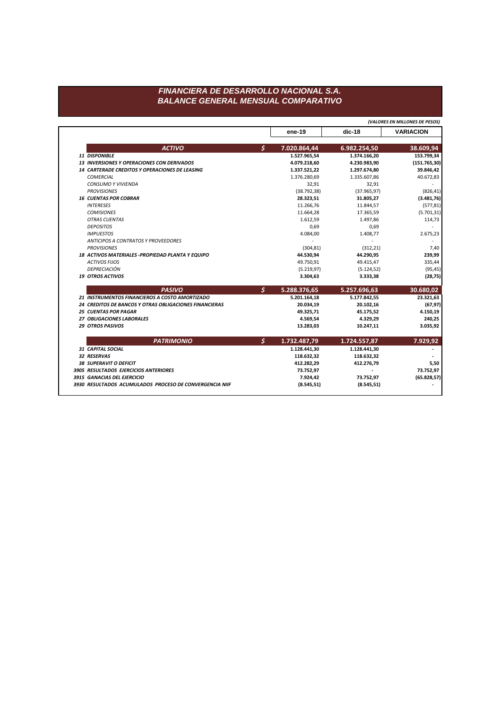## FINANCIERA DE DESARROLLO NACIONAL S.A. **BALANCE GENERAL MENSUAL COMPARATIVO**

(VALORES EN MILLONES DE PESOS)  $dic-18$ **VARIACION** ene-19  $\mathsf{S}$ **ACTIVO** 7.020.864,44 6.982.254,50 38.609,94 153.799,34 11 DISPONIBLE 1.527.965,54 1.374.166,20 13 INVERSIONES Y OPERACIONES CON DERIVADOS  $(151.765, 30)$ 4.079.218,60 4.230.983,90 14 CARTERADE CREDITOS Y OPERACIONES DE LEASING 39.846,42 1.337.521,22 1.297.674,80 **COMERCIAL** 1.376.280,69 1.335.607,86 40.672,83 CONSUMO Y VIVIENDA 32,91 32,91 **PROVISIONES**  $(826, 41)$  $(38.792, 38)$  $(37.965, 97)$ **16 CUENTAS POR COBRAR**  $(3.481,76)$ 28.323,51 31.805,27 **INTERESES** 11.266,76 11.844,57  $(577, 81)$ **COMISIONES** 11.664,28 17.365,59  $(5.701, 31)$ **OTRAS CUENTAS** 1.612,59 1.497,86 114,73 **DEPOSITOS** 0,69 0,69  $\sim$ **IMPUESTOS** 4.084,00 1.408,77 2.675,23 ANTICIPOS A CONTRATOS Y PROVEEDORES  $\sim$  $\sim$  $\sim$ **PROVISIONES**  $(304, 81)$  $(312, 21)$ 7,40 18 ACTIVOS MATERIALES - PROPIEDAD PLANTA Y EQUIPO 44.530,94 44.290,95 239,99 49.750,91 **ACTIVOS FIJOS** 49.415,47 335,44 DEPRECIACIÓN  $(95, 45)$  $(5.219, 97)$  $(5.124, 52)$ **19 OTROS ACTIVOS** 3.333,38 3.304,63  $(28, 75)$  $\boldsymbol{\zeta}$ **PASIVO** 5.288.376,65 5.257.696,63 30.680,02 5.177.842,55 23.321,63 21 INSTRUMENTOS FINANCIEROS A COSTO AMORTIZADO 5.201.164,18 24 CREDITOS DE BANCOS Y OTRAS OBLIGACIONES FINANCIERAS 20.102,16  $(67, 97)$ 20.034,19 **25 CUENTAS POR PAGAR** 45.175,52 4.150,19 49.325,71 27 OBLIGACIONES LABORALES 4.569,54 4.329,29 240,25 29 OTROS PASIVOS 13.283,03 10.247,11 3.035,92  $\mathsf{S}$ **PATRIMONIO** 1.732.487,79 1.724.557,87 7.929,92 31 CAPITAL SOCIAL 1.128.441,30 1.128.441,30  $\blacksquare$ 32 RESERVAS 118.632,32 118.632,32 38 SUPERAVIT O DEFICIT 412.282,29 412.276,79 5,50 3905 RESULTADOS EJERCICIOS ANTERIORES 73.752,97 73.752,97 3915 GANACIAS DEL EJERCICIO 7.924,42 73.752,97  $(65.828, 57)$ 

 $(8.545, 51)$ 

 $(8.545, 51)$ 

 $\overline{\phantom{a}}$ 

3930 RESULTADOS ACUMULADOS PROCESO DE CONVERGENCIA NIIF